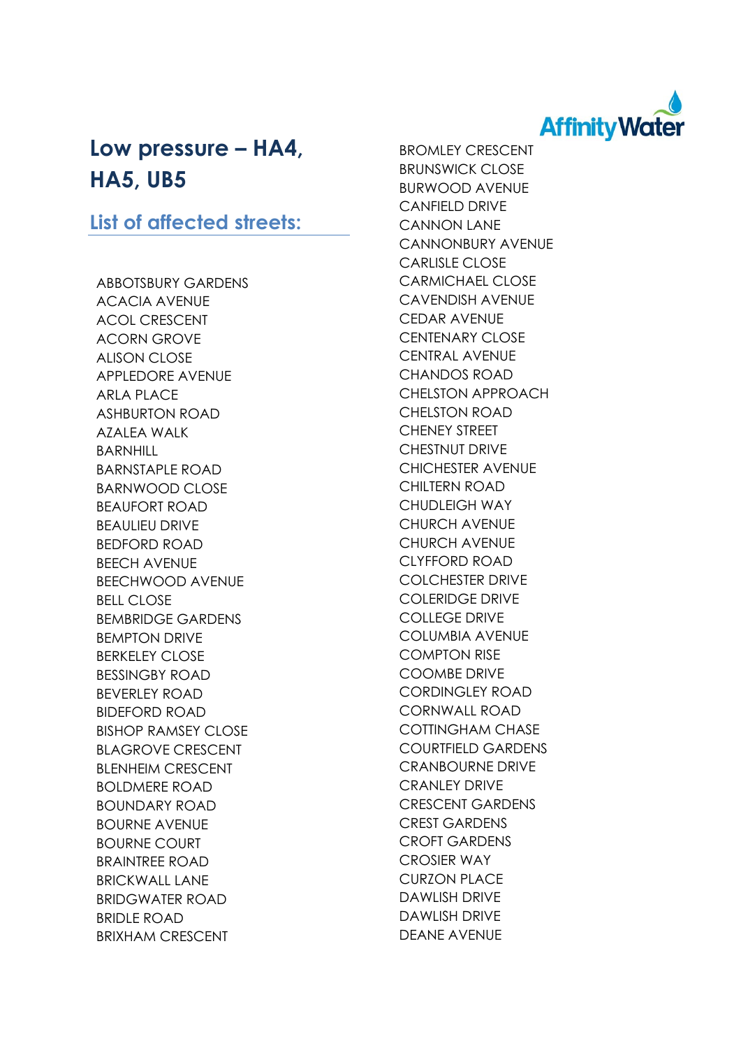

## **Low pressure – HA4, HA5, UB5**

## **List of affected streets:**

ABBOTSBURY GARDENS ACACIA AVENUE ACOL CRESCENT ACORN GROVE ALISON CLOSE APPLEDORE AVENUE ARLA PLACE ASHBURTON ROAD AZALEA WALK BARNHILL BARNSTAPLE ROAD BARNWOOD CLOSE BEAUFORT ROAD BEAULIEU DRIVE BEDFORD ROAD BEECH AVENUE BEECHWOOD AVENUE BELL CLOSE BEMBRIDGE GARDENS BEMPTON DRIVE BERKELEY CLOSE BESSINGBY ROAD BEVERLEY ROAD BIDEFORD ROAD BISHOP RAMSEY CLOSE BLAGROVE CRESCENT BLENHEIM CRESCENT BOLDMERE ROAD BOUNDARY ROAD BOURNE AVENUE BOURNE COURT BRAINTREE ROAD BRICKWALL LANE BRIDGWATER ROAD BRIDLE ROAD BRIXHAM CRESCENT

BROMLEY CRESCENT BRUNSWICK CLOSE BURWOOD AVENUE CANFIELD DRIVE CANNON LANE CANNONBURY AVENUE CARLISLE CLOSE CARMICHAEL CLOSE CAVENDISH AVENUE CEDAR AVENUE CENTENARY CLOSE CENTRAL AVENUE CHANDOS ROAD CHELSTON APPROACH CHELSTON ROAD CHENEY STREET CHESTNUT DRIVE CHICHESTER AVENUE CHILTERN ROAD CHUDLEIGH WAY CHURCH AVENUE CHURCH AVENUE CLYFFORD ROAD COLCHESTER DRIVE COLERIDGE DRIVE COLLEGE DRIVE COLUMBIA AVENUE COMPTON RISE COOMBE DRIVE CORDINGLEY ROAD CORNWALL ROAD COTTINGHAM CHASE COURTFIELD GARDENS CRANBOURNE DRIVE CRANLEY DRIVE CRESCENT GARDENS CREST GARDENS CROFT GARDENS CROSIER WAY CURZON PLACE DAWLISH DRIVE DAWLISH DRIVE DEANE AVENUE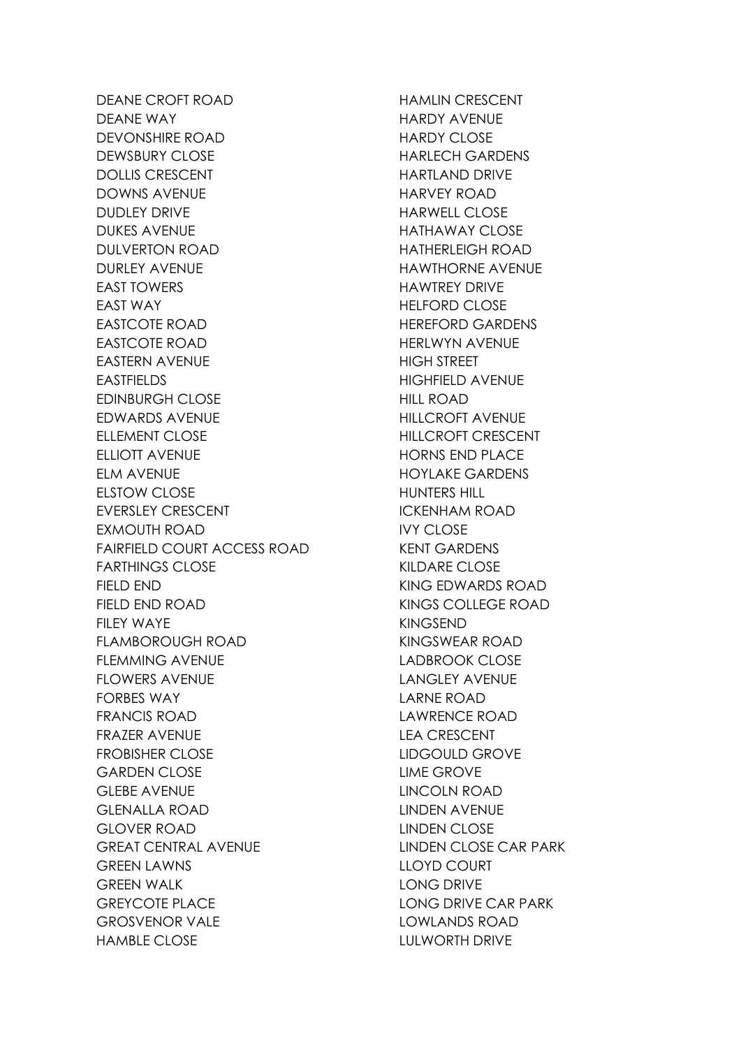DEANE CROFT ROAD DEANE WAY DEVONSHIRE ROAD DEWSBURY CLOSE DOLLIS CRESCENT DOWNS AVENUE DUDLEY DRIVE DUKES AVENUE DULVERTON ROAD DURLEY AVENUE EAST TOWERS EAST WAY EASTCOTE ROAD EASTCOTE ROAD EASTERN AVENUE EASTFIELDS EDINBURGH CLOSE EDWARDS AVENUE ELLEMENT CLOSE ELLIOTT AVENUE ELM AVENUE ELSTOW CLOSE EVERSLEY CRESCENT EXMOUTH ROAD FAIRFIELD COURT ACCESS ROAD FARTHINGS CLOSE FIELD END FIELD END ROAD FILEY WAYE FLAMBOROUGH ROAD FLEMMING AVENUE FLOWERS AVENUE FORBES WAY FRANCIS ROAD FRAZER AVENUE FROBISHER CLOSE GARDEN CLOSE GLEBE AVENUE GLENALLA ROAD GLOVER ROAD GREAT CENTRAL AVENUE **GREEN LAWNS** GREEN WALK GREYCOTE PLACE GROSVENOR VALE HAMBLE CLOSE

HAMLIN CRESCENT HARDY AVENUE HARDY CLOSE HARLECH GARDENS HARTLAND DRIVE HARVEY ROAD HARWELL CLOSE HATHAWAY CLOSE HATHERLEIGH ROAD HAWTHORNE AVENUE HAWTREY DRIVE HELFORD CLOSE HEREFORD GARDENS HERLWYN AVENUE HIGH STREET HIGHFIELD AVENUE HILL ROAD HILLCROFT AVENUE HILLCROFT CRESCENT HORNS END PLACE HOYLAKE GARDENS HUNTERS HILL ICKENHAM ROAD IVY CLOSE KENT GARDENS KILDARE CLOSE KING EDWARDS ROAD KINGS COLLEGE ROAD KINGSEND KINGSWEAR ROAD LADBROOK CLOSE LANGLEY AVENUE LARNE ROAD LAWRENCE ROAD LEA CRESCENT LIDGOULD GROVE LIME GROVE LINCOLN ROAD LINDEN AVENUE LINDEN CLOSE LINDEN CLOSE CAR PARK LLOYD COURT LONG DRIVE LONG DRIVE CAR PARK LOWLANDS ROAD LULWORTH DRIVE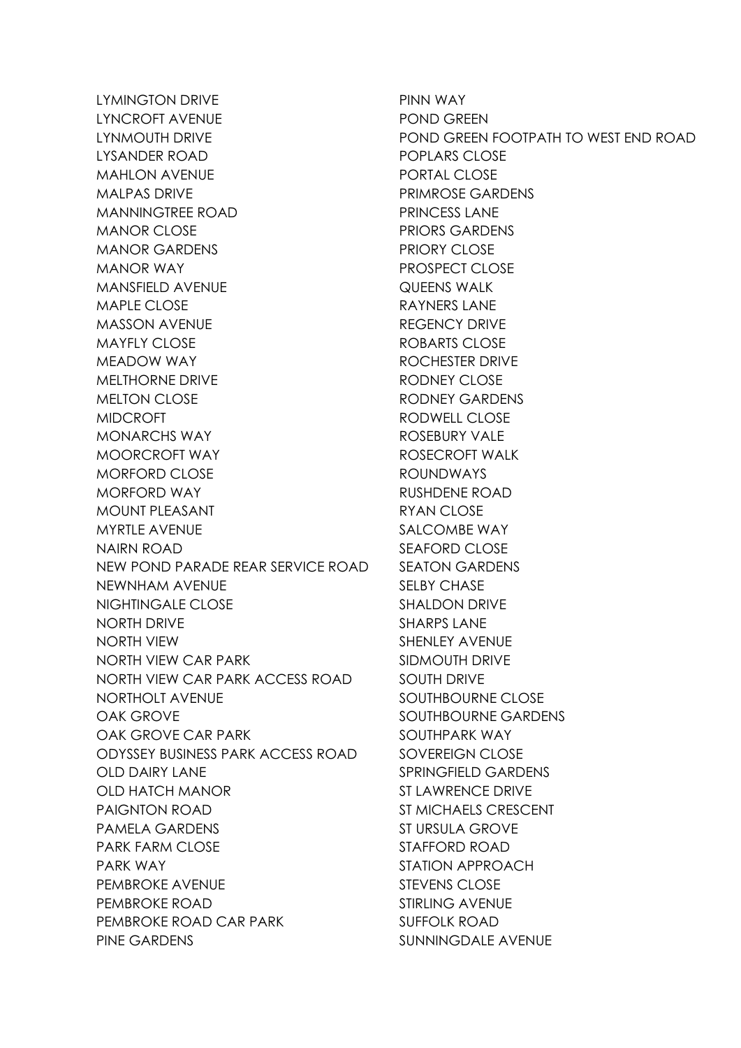LYMINGTON DRIVE LYNCROFT AVENUE LYNMOUTH DRIVE LYSANDER ROAD MAHLON AVENUE MALPAS DRIVE MANNINGTREE ROAD MANOR CLOSE MANOR GARDENS MANOR WAY MANSFIELD AVENUE MAPLE CLOSE MASSON AVENUE MAYFLY CLOSE MEADOW WAY MELTHORNE DRIVE MELTON CLOSE MIDCROFT MONARCHS WAY MOORCROFT WAY MORFORD CLOSE MORFORD WAY MOUNT PLEASANT MYRTLE AVENUE NAIRN ROAD NEW POND PARADE REAR SERVICE ROAD NEWNHAM AVENUE NIGHTINGALE CLOSE NORTH DRIVE NORTH VIEW NORTH VIEW CAR PARK NORTH VIEW CAR PARK ACCESS ROAD NORTHOLT AVENUE OAK GROVE OAK GROVE CAR PARK ODYSSEY BUSINESS PARK ACCESS ROAD OLD DAIRY LANE OLD HATCH MANOR PAIGNTON ROAD PAMELA GARDENS PARK FARM CLOSE PARK WAY PEMBROKE AVENUE PEMBROKE ROAD PEMBROKE ROAD CAR PARK PINE GARDENS

PINN WAY POND GREEN POND GREEN FOOTPATH TO WEST END ROAD POPLARS CLOSE PORTAL CLOSE PRIMROSE GARDENS PRINCESS LANE PRIORS GARDENS PRIORY CLOSE PROSPECT CLOSE QUEENS WALK RAYNERS LANE REGENCY DRIVE ROBARTS CLOSE ROCHESTER DRIVE RODNEY CLOSE RODNEY GARDENS RODWELL CLOSE ROSEBURY VALE ROSECROFT WALK ROUNDWAYS RUSHDENE ROAD RYAN CLOSE SALCOMBE WAY SEAFORD CLOSE SEATON GARDENS SELBY CHASE SHALDON DRIVE SHARPS LANE SHENLEY AVENUE SIDMOUTH DRIVE SOUTH DRIVE SOUTHBOURNE CLOSE SOUTHBOURNE GARDENS SOUTHPARK WAY SOVEREIGN CLOSE SPRINGFIELD GARDENS ST LAWRENCE DRIVE ST MICHAELS CRESCENT ST URSULA GROVE STAFFORD ROAD STATION APPROACH STEVENS CLOSE STIRLING AVENUE SUFFOLK ROAD SUNNINGDALE AVENUE